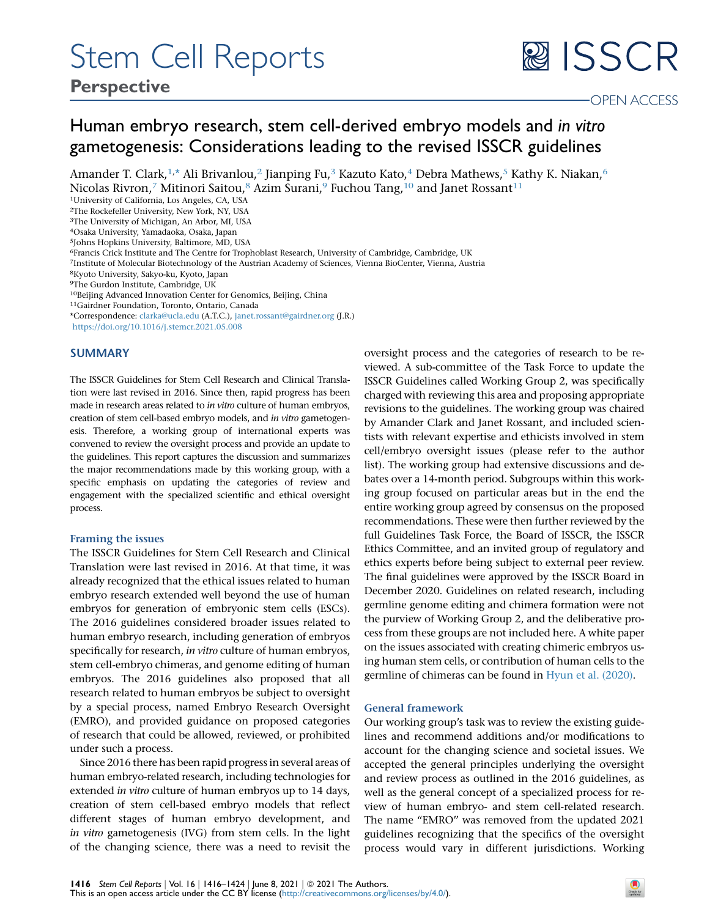# Stem Cell Reports

## 图 ISSCR

### Human embryo research, stem cell-derived embryo models and in vitro gametogenesis: Considerations leading to the revised ISSCR guidelines

Amander T. Clark,<sup>[1](#page-0-0),[\\*](#page-0-1)</sup> Ali Brivanlou,<sup>[2](#page-0-2)</sup> Jianping Fu,<sup>[3](#page-0-3)</sup> Kazuto Kato,<sup>[4](#page-0-4)</sup> Debra Mathews,<sup>[5](#page-0-5)</sup> Kathy K. Niakan,<sup>[6](#page-0-6)</sup> Nicolas Rivron,<sup>[7](#page-0-7)</sup> Mitinori Saitou,<sup>8</sup> Azim Surani,<sup>[9](#page-0-9)</sup> Fuchou Tang,<sup>[10](#page-0-10)</sup> and Janet Rossant<sup>[11](#page-0-11)</sup>

<span id="page-0-0"></span>1University of California, Los Angeles, CA, USA

<span id="page-0-2"></span>2The Rockefeller University, New York, NY, USA

<span id="page-0-3"></span>3The University of Michigan, An Arbor, MI, USA

<span id="page-0-4"></span>4Osaka University, Yamadaoka, Osaka, Japan

<span id="page-0-5"></span>5Johns Hopkins University, Baltimore, MD, USA

<span id="page-0-6"></span>6Francis Crick Institute and The Centre for Trophoblast Research, University of Cambridge, Cambridge, UK

<span id="page-0-7"></span>7Institute of Molecular Biotechnology of the Austrian Academy of Sciences, Vienna BioCenter, Vienna, Austria

<span id="page-0-8"></span>8Kyoto University, Sakyo-ku, Kyoto, Japan

<span id="page-0-9"></span>9The Gurdon Institute, Cambridge, UK

<span id="page-0-10"></span>10Beijing Advanced Innovation Center for Genomics, Beijing, China

<span id="page-0-11"></span>11Gairdner Foundation, Toronto, Ontario, Canada

<span id="page-0-1"></span>\*Correspondence: [clarka@ucla.edu](mailto:clarka@ucla.edu) (A.T.C.), [janet.rossant@gairdner.org](mailto:janet.rossant@gairdner.org) (J.R.)

<https://doi.org/10.1016/j.stemcr.2021.05.008>

#### SUMMARY

The ISSCR Guidelines for Stem Cell Research and Clinical Translation were last revised in 2016. Since then, rapid progress has been made in research areas related to in vitro culture of human embryos, creation of stem cell-based embryo models, and in vitro gametogenesis. Therefore, a working group of international experts was convened to review the oversight process and provide an update to the guidelines. This report captures the discussion and summarizes the major recommendations made by this working group, with a specific emphasis on updating the categories of review and engagement with the specialized scientific and ethical oversight process.

#### Framing the issues

The ISSCR Guidelines for Stem Cell Research and Clinical Translation were last revised in 2016. At that time, it was already recognized that the ethical issues related to human embryo research extended well beyond the use of human embryos for generation of embryonic stem cells (ESCs). The 2016 guidelines considered broader issues related to human embryo research, including generation of embryos specifically for research, *in vitro* culture of human embryos, stem cell-embryo chimeras, and genome editing of human embryos. The 2016 guidelines also proposed that all research related to human embryos be subject to oversight by a special process, named Embryo Research Oversight (EMRO), and provided guidance on proposed categories of research that could be allowed, reviewed, or prohibited under such a process.

Since 2016 there has been rapid progress in several areas of human embryo-related research, including technologies for extended *in vitro* culture of human embryos up to 14 days, creation of stem cell-based embryo models that reflect different stages of human embryo development, and in vitro gametogenesis (IVG) from stem cells. In the light of the changing science, there was a need to revisit the

oversight process and the categories of research to be reviewed. A sub-committee of the Task Force to update the ISSCR Guidelines called Working Group 2, was specifically charged with reviewing this area and proposing appropriate revisions to the guidelines. The working group was chaired by Amander Clark and Janet Rossant, and included scientists with relevant expertise and ethicists involved in stem cell/embryo oversight issues (please refer to the author list). The working group had extensive discussions and debates over a 14-month period. Subgroups within this working group focused on particular areas but in the end the entire working group agreed by consensus on the proposed recommendations. These were then further reviewed by the full Guidelines Task Force, the Board of ISSCR, the ISSCR Ethics Committee, and an invited group of regulatory and ethics experts before being subject to external peer review. The final guidelines were approved by the ISSCR Board in December 2020. Guidelines on related research, including germline genome editing and chimera formation were not the purview of Working Group 2, and the deliberative process from these groups are not included here. A white paper on the issues associated with creating chimeric embryos using human stem cells, or contribution of human cells to the germline of chimeras can be found in [Hyun et al. \(2020\)](#page-6-0).

#### General framework

Our working group's task was to review the existing guidelines and recommend additions and/or modifications to account for the changing science and societal issues. We accepted the general principles underlying the oversight and review process as outlined in the 2016 guidelines, as well as the general concept of a specialized process for review of human embryo- and stem cell-related research. The name ''EMRO'' was removed from the updated 2021 guidelines recognizing that the specifics of the oversight process would vary in different jurisdictions. Working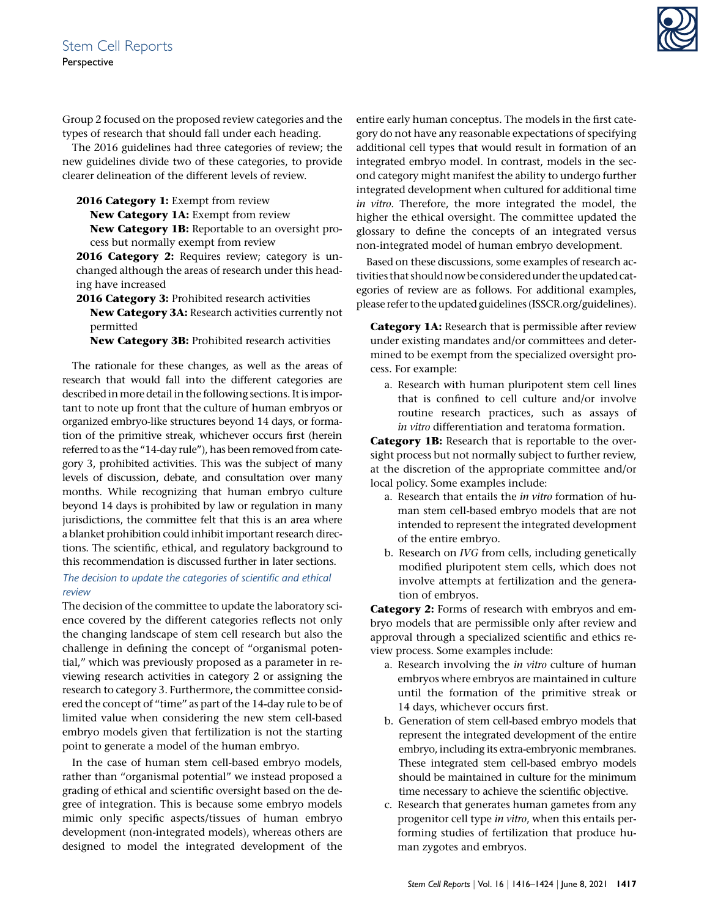Group 2 focused on the proposed review categories and the types of research that should fall under each heading.

The 2016 guidelines had three categories of review; the new guidelines divide two of these categories, to provide clearer delineation of the different levels of review.

2016 Category 1: Exempt from review

New Category 1A: Exempt from review

New Category 1B: Reportable to an oversight process but normally exempt from review

2016 Category 2: Requires review; category is unchanged although the areas of research under this heading have increased

2016 Category 3: Prohibited research activities

New Category 3A: Research activities currently not permitted

New Category 3B: Prohibited research activities

The rationale for these changes, as well as the areas of research that would fall into the different categories are described in more detail in the following sections. It is important to note up front that the culture of human embryos or organized embryo-like structures beyond 14 days, or formation of the primitive streak, whichever occurs first (herein referred to as the "14-day rule"), has been removed from category 3, prohibited activities. This was the subject of many levels of discussion, debate, and consultation over many months. While recognizing that human embryo culture beyond 14 days is prohibited by law or regulation in many jurisdictions, the committee felt that this is an area where a blanket prohibition could inhibit important research directions. The scientific, ethical, and regulatory background to this recommendation is discussed further in later sections.

#### The decision to update the categories of scientific and ethical review

The decision of the committee to update the laboratory science covered by the different categories reflects not only the changing landscape of stem cell research but also the challenge in defining the concept of ''organismal potential,'' which was previously proposed as a parameter in reviewing research activities in category 2 or assigning the research to category 3. Furthermore, the committee considered the concept of ''time'' as part of the 14-day rule to be of limited value when considering the new stem cell-based embryo models given that fertilization is not the starting point to generate a model of the human embryo.

In the case of human stem cell-based embryo models, rather than ''organismal potential'' we instead proposed a grading of ethical and scientific oversight based on the degree of integration. This is because some embryo models mimic only specific aspects/tissues of human embryo development (non-integrated models), whereas others are designed to model the integrated development of the entire early human conceptus. The models in the first category do not have any reasonable expectations of specifying additional cell types that would result in formation of an integrated embryo model. In contrast, models in the second category might manifest the ability to undergo further integrated development when cultured for additional time in vitro. Therefore, the more integrated the model, the higher the ethical oversight. The committee updated the glossary to define the concepts of an integrated versus non-integrated model of human embryo development.

Based on these discussions, some examples of research activities that should now be considered under the updated categories of review are as follows. For additional examples, please refer to the updated guidelines (ISSCR.org/guidelines).

**Category 1A:** Research that is permissible after review under existing mandates and/or committees and determined to be exempt from the specialized oversight process. For example:

a. Research with human pluripotent stem cell lines that is confined to cell culture and/or involve routine research practices, such as assays of in vitro differentiation and teratoma formation.

Category 1B: Research that is reportable to the oversight process but not normally subject to further review, at the discretion of the appropriate committee and/or local policy. Some examples include:

- a. Research that entails the in vitro formation of human stem cell-based embryo models that are not intended to represent the integrated development of the entire embryo.
- b. Research on IVG from cells, including genetically modified pluripotent stem cells, which does not involve attempts at fertilization and the generation of embryos.

Category 2: Forms of research with embryos and embryo models that are permissible only after review and approval through a specialized scientific and ethics review process. Some examples include:

- a. Research involving the in vitro culture of human embryos where embryos are maintained in culture until the formation of the primitive streak or 14 days, whichever occurs first.
- b. Generation of stem cell-based embryo models that represent the integrated development of the entire embryo, including its extra-embryonic membranes. These integrated stem cell-based embryo models should be maintained in culture for the minimum time necessary to achieve the scientific objective.
- c. Research that generates human gametes from any progenitor cell type in vitro, when this entails performing studies of fertilization that produce human zygotes and embryos.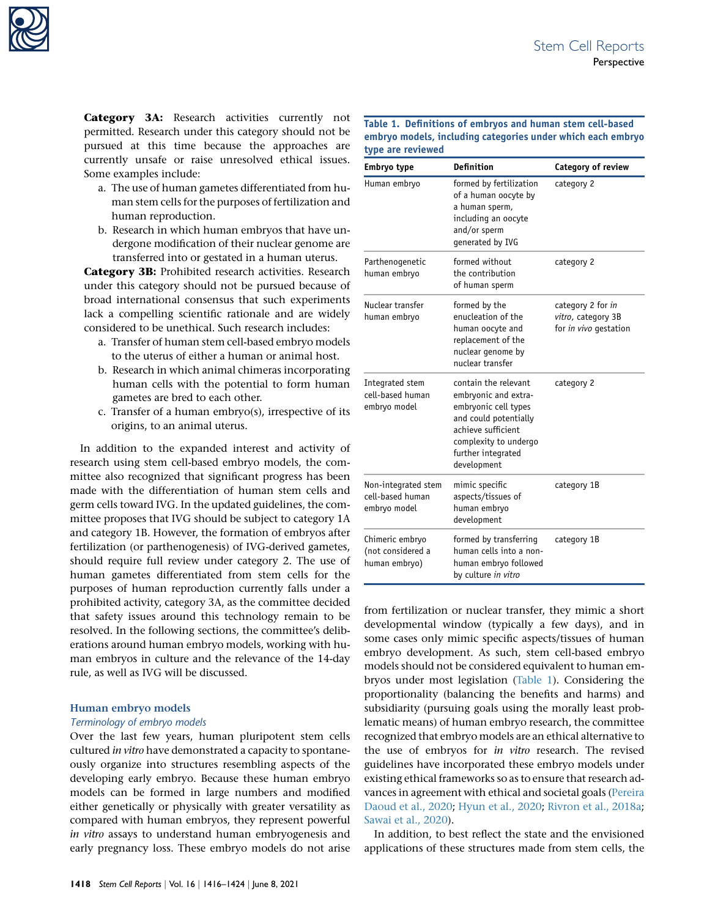

Category 3A: Research activities currently not permitted. Research under this category should not be pursued at this time because the approaches are currently unsafe or raise unresolved ethical issues. Some examples include:

- a. The use of human gametes differentiated from human stem cells for the purposes of fertilization and human reproduction.
- b. Research in which human embryos that have undergone modification of their nuclear genome are transferred into or gestated in a human uterus.

Category 3B: Prohibited research activities. Research under this category should not be pursued because of broad international consensus that such experiments lack a compelling scientific rationale and are widely considered to be unethical. Such research includes:

- a. Transfer of human stem cell-based embryo models to the uterus of either a human or animal host.
- b. Research in which animal chimeras incorporating human cells with the potential to form human gametes are bred to each other.
- c. Transfer of a human embryo(s), irrespective of its origins, to an animal uterus.

In addition to the expanded interest and activity of research using stem cell-based embryo models, the committee also recognized that significant progress has been made with the differentiation of human stem cells and germ cells toward IVG. In the updated guidelines, the committee proposes that IVG should be subject to category 1A and category 1B. However, the formation of embryos after fertilization (or parthenogenesis) of IVG-derived gametes, should require full review under category 2. The use of human gametes differentiated from stem cells for the purposes of human reproduction currently falls under a prohibited activity, category 3A, as the committee decided that safety issues around this technology remain to be resolved. In the following sections, the committee's deliberations around human embryo models, working with human embryos in culture and the relevance of the 14-day rule, as well as IVG will be discussed.

#### Human embryo models

#### Terminology of embryo models

Over the last few years, human pluripotent stem cells cultured in vitro have demonstrated a capacity to spontaneously organize into structures resembling aspects of the developing early embryo. Because these human embryo models can be formed in large numbers and modified either genetically or physically with greater versatility as compared with human embryos, they represent powerful in vitro assays to understand human embryogenesis and early pregnancy loss. These embryo models do not arise

<span id="page-2-0"></span>Table 1. Definitions of embryos and human stem cell-based embryo models, including categories under which each embryo type are reviewed

| Embryo type                                             | <b>Definition</b>                                                                                                                                                                 | <b>Category of review</b>                                        |
|---------------------------------------------------------|-----------------------------------------------------------------------------------------------------------------------------------------------------------------------------------|------------------------------------------------------------------|
| Human embryo                                            | formed by fertilization<br>of a human oocyte by<br>a human sperm,<br>including an oocyte<br>and/or sperm<br>generated by IVG                                                      | category 2                                                       |
| Parthenogenetic<br>human embryo                         | formed without<br>the contribution<br>of human sperm                                                                                                                              | category 2                                                       |
| Nuclear transfer<br>human embryo                        | formed by the<br>enucleation of the<br>human oocyte and<br>replacement of the<br>nuclear genome by<br>nuclear transfer                                                            | category 2 for in<br>vitro, category 3B<br>for in vivo gestation |
| Integrated stem<br>cell-based human<br>embryo model     | contain the relevant<br>embryonic and extra-<br>embryonic cell types<br>and could potentially<br>achieve sufficient<br>complexity to undergo<br>further integrated<br>development | category 2                                                       |
| Non-integrated stem<br>cell-based human<br>embryo model | mimic specific<br>aspects/tissues of<br>human embryo<br>development                                                                                                               | category 1B                                                      |
| Chimeric embryo<br>(not considered a<br>human embryo)   | formed by transferring<br>human cells into a non-<br>human embryo followed<br>by culture in vitro                                                                                 | category 1B                                                      |

from fertilization or nuclear transfer, they mimic a short developmental window (typically a few days), and in some cases only mimic specific aspects/tissues of human embryo development. As such, stem cell-based embryo models should not be considered equivalent to human embryos under most legislation ([Table 1\)](#page-2-0). Considering the proportionality (balancing the benefits and harms) and subsidiarity (pursuing goals using the morally least problematic means) of human embryo research, the committee recognized that embryo models are an ethical alternative to the use of embryos for in vitro research. The revised guidelines have incorporated these embryo models under existing ethical frameworks so as to ensure that research advances in agreement with ethical and societal goals [\(Pereira](#page-7-0) [Daoud et al., 2020](#page-7-0); [Hyun et al., 2020](#page-6-0); [Rivron et al., 2018a](#page-7-1); [Sawai et al., 2020](#page-7-2)).

In addition, to best reflect the state and the envisioned applications of these structures made from stem cells, the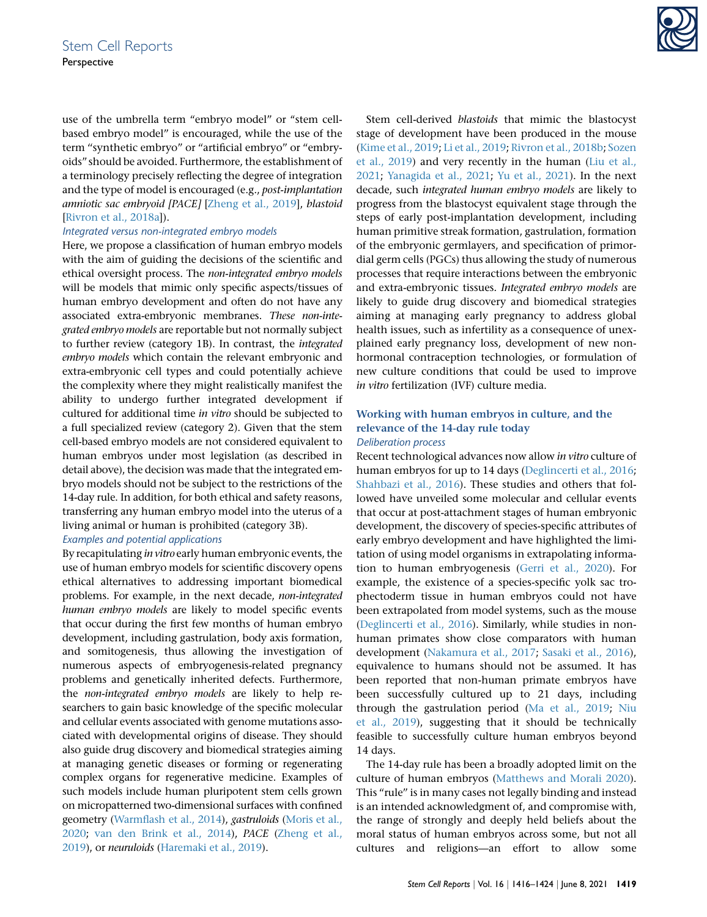use of the umbrella term "embryo model" or "stem cellbased embryo model'' is encouraged, while the use of the term ''synthetic embryo'' or ''artificial embryo'' or ''embryoids'' should be avoided. Furthermore, the establishment of a terminology precisely reflecting the degree of integration and the type of model is encouraged (e.g., post-implantation amniotic sac embryoid [PACE] [\[Zheng et al., 2019](#page-8-0)], blastoid [\[Rivron et al., 2018a](#page-7-1)]).

#### Integrated versus non-integrated embryo models

Here, we propose a classification of human embryo models with the aim of guiding the decisions of the scientific and ethical oversight process. The non-integrated embryo models will be models that mimic only specific aspects/tissues of human embryo development and often do not have any associated extra-embryonic membranes. These non-integrated embryo models are reportable but not normally subject to further review (category 1B). In contrast, the integrated embryo models which contain the relevant embryonic and extra-embryonic cell types and could potentially achieve the complexity where they might realistically manifest the ability to undergo further integrated development if cultured for additional time in vitro should be subjected to a full specialized review (category 2). Given that the stem cell-based embryo models are not considered equivalent to human embryos under most legislation (as described in detail above), the decision was made that the integrated embryo models should not be subject to the restrictions of the 14-day rule. In addition, for both ethical and safety reasons, transferring any human embryo model into the uterus of a living animal or human is prohibited (category 3B).

#### Examples and potential applications

By recapitulating in vitro early human embryonic events, the use of human embryo models for scientific discovery opens ethical alternatives to addressing important biomedical problems. For example, in the next decade, non-integrated human embryo models are likely to model specific events that occur during the first few months of human embryo development, including gastrulation, body axis formation, and somitogenesis, thus allowing the investigation of numerous aspects of embryogenesis-related pregnancy problems and genetically inherited defects. Furthermore, the non-integrated embryo models are likely to help researchers to gain basic knowledge of the specific molecular and cellular events associated with genome mutations associated with developmental origins of disease. They should also guide drug discovery and biomedical strategies aiming at managing genetic diseases or forming or regenerating complex organs for regenerative medicine. Examples of such models include human pluripotent stem cells grown on micropatterned two-dimensional surfaces with confined geometry [\(Warmflash et al., 2014](#page-7-3)), gastruloids ([Moris et al.,](#page-7-4) [2020](#page-7-4); [van den Brink et al., 2014](#page-7-5)), PACE [\(Zheng et al.,](#page-8-0) [2019](#page-8-0)), or neuruloids [\(Haremaki et al., 2019](#page-6-1)).



Stem cell-derived blastoids that mimic the blastocyst stage of development have been produced in the mouse [\(Kime et al., 2019](#page-7-6); [Li et al., 2019;](#page-7-7) [Rivron et al., 2018b;](#page-7-8) [Sozen](#page-7-9) [et al., 2019\)](#page-7-9) and very recently in the human ([Liu et al.,](#page-7-10) [2021;](#page-7-10) [Yanagida et al., 2021;](#page-8-1) [Yu et al., 2021](#page-8-2)). In the next decade, such integrated human embryo models are likely to progress from the blastocyst equivalent stage through the steps of early post-implantation development, including human primitive streak formation, gastrulation, formation of the embryonic germlayers, and specification of primordial germ cells (PGCs) thus allowing the study of numerous processes that require interactions between the embryonic and extra-embryonic tissues. Integrated embryo models are likely to guide drug discovery and biomedical strategies aiming at managing early pregnancy to address global health issues, such as infertility as a consequence of unexplained early pregnancy loss, development of new nonhormonal contraception technologies, or formulation of new culture conditions that could be used to improve in vitro fertilization (IVF) culture media.

#### Working with human embryos in culture, and the relevance of the 14-day rule today Deliberation process

Recent technological advances now allow in vitro culture of human embryos for up to 14 days [\(Deglincerti et al., 2016;](#page-6-2) [Shahbazi et al., 2016](#page-7-11)). These studies and others that followed have unveiled some molecular and cellular events that occur at post-attachment stages of human embryonic development, the discovery of species-specific attributes of early embryo development and have highlighted the limitation of using model organisms in extrapolating information to human embryogenesis ([Gerri et al., 2020\)](#page-6-3). For example, the existence of a species-specific yolk sac trophectoderm tissue in human embryos could not have been extrapolated from model systems, such as the mouse [\(Deglincerti et al., 2016](#page-6-2)). Similarly, while studies in nonhuman primates show close comparators with human development ([Nakamura et al., 2017](#page-7-12); [Sasaki et al., 2016\)](#page-7-13), equivalence to humans should not be assumed. It has been reported that non-human primate embryos have been successfully cultured up to 21 days, including through the gastrulation period [\(Ma et al., 2019](#page-7-14); [Niu](#page-7-15) [et al., 2019](#page-7-15)), suggesting that it should be technically feasible to successfully culture human embryos beyond 14 days.

The 14-day rule has been a broadly adopted limit on the culture of human embryos [\(Matthews and Morali 2020\)](#page-7-16). This "rule" is in many cases not legally binding and instead is an intended acknowledgment of, and compromise with, the range of strongly and deeply held beliefs about the moral status of human embryos across some, but not all cultures and religions—an effort to allow some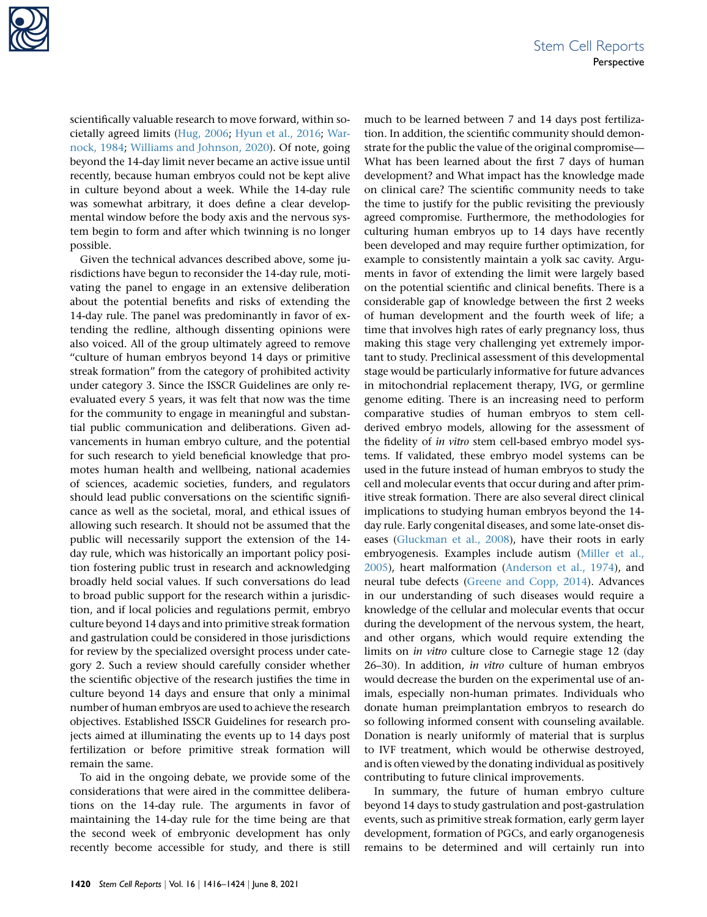

scientifically valuable research to move forward, within societally agreed limits ([Hug, 2006](#page-6-4); [Hyun et al., 2016;](#page-6-5) [War](#page-8-3)[nock, 1984;](#page-8-3) [Williams and Johnson, 2020\)](#page-8-4). Of note, going beyond the 14-day limit never became an active issue until recently, because human embryos could not be kept alive in culture beyond about a week. While the 14-day rule was somewhat arbitrary, it does define a clear developmental window before the body axis and the nervous system begin to form and after which twinning is no longer possible.

Given the technical advances described above, some jurisdictions have begun to reconsider the 14-day rule, motivating the panel to engage in an extensive deliberation about the potential benefits and risks of extending the 14-day rule. The panel was predominantly in favor of extending the redline, although dissenting opinions were also voiced. All of the group ultimately agreed to remove ''culture of human embryos beyond 14 days or primitive streak formation'' from the category of prohibited activity under category 3. Since the ISSCR Guidelines are only reevaluated every 5 years, it was felt that now was the time for the community to engage in meaningful and substantial public communication and deliberations. Given advancements in human embryo culture, and the potential for such research to yield beneficial knowledge that promotes human health and wellbeing, national academies of sciences, academic societies, funders, and regulators should lead public conversations on the scientific significance as well as the societal, moral, and ethical issues of allowing such research. It should not be assumed that the public will necessarily support the extension of the 14 day rule, which was historically an important policy position fostering public trust in research and acknowledging broadly held social values. If such conversations do lead to broad public support for the research within a jurisdiction, and if local policies and regulations permit, embryo culture beyond 14 days and into primitive streak formation and gastrulation could be considered in those jurisdictions for review by the specialized oversight process under category 2. Such a review should carefully consider whether the scientific objective of the research justifies the time in culture beyond 14 days and ensure that only a minimal number of human embryos are used to achieve the research objectives. Established ISSCR Guidelines for research projects aimed at illuminating the events up to 14 days post fertilization or before primitive streak formation will remain the same.

To aid in the ongoing debate, we provide some of the considerations that were aired in the committee deliberations on the 14-day rule. The arguments in favor of maintaining the 14-day rule for the time being are that the second week of embryonic development has only recently become accessible for study, and there is still

much to be learned between 7 and 14 days post fertilization. In addition, the scientific community should demonstrate for the public the value of the original compromise— What has been learned about the first 7 days of human development? and What impact has the knowledge made on clinical care? The scientific community needs to take the time to justify for the public revisiting the previously agreed compromise. Furthermore, the methodologies for culturing human embryos up to 14 days have recently been developed and may require further optimization, for example to consistently maintain a yolk sac cavity. Arguments in favor of extending the limit were largely based on the potential scientific and clinical benefits. There is a considerable gap of knowledge between the first 2 weeks of human development and the fourth week of life; a time that involves high rates of early pregnancy loss, thus making this stage very challenging yet extremely important to study. Preclinical assessment of this developmental stage would be particularly informative for future advances in mitochondrial replacement therapy, IVG, or germline genome editing. There is an increasing need to perform comparative studies of human embryos to stem cellderived embryo models, allowing for the assessment of the fidelity of in vitro stem cell-based embryo model systems. If validated, these embryo model systems can be used in the future instead of human embryos to study the cell and molecular events that occur during and after primitive streak formation. There are also several direct clinical implications to studying human embryos beyond the 14 day rule. Early congenital diseases, and some late-onset diseases ([Gluckman et al., 2008\)](#page-6-6), have their roots in early embryogenesis. Examples include autism ([Miller et al.,](#page-7-17) [2005](#page-7-17)), heart malformation [\(Anderson et al., 1974](#page-6-7)), and neural tube defects ([Greene and Copp, 2014](#page-6-8)). Advances in our understanding of such diseases would require a knowledge of the cellular and molecular events that occur during the development of the nervous system, the heart, and other organs, which would require extending the limits on in vitro culture close to Carnegie stage 12 (day 26–30). In addition, in vitro culture of human embryos would decrease the burden on the experimental use of animals, especially non-human primates. Individuals who donate human preimplantation embryos to research do so following informed consent with counseling available. Donation is nearly uniformly of material that is surplus to IVF treatment, which would be otherwise destroyed, and is often viewed by the donating individual as positively contributing to future clinical improvements.

In summary, the future of human embryo culture beyond 14 days to study gastrulation and post-gastrulation events, such as primitive streak formation, early germ layer development, formation of PGCs, and early organogenesis remains to be determined and will certainly run into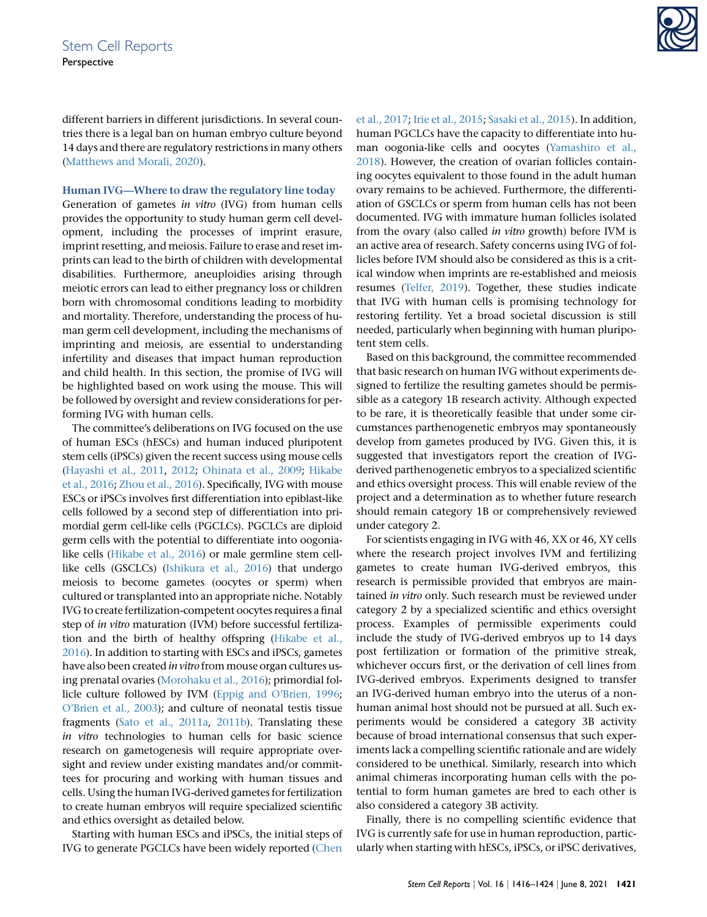different barriers in different jurisdictions. In several countries there is a legal ban on human embryo culture beyond 14 days and there are regulatory restrictions in many others [\(Matthews and Morali, 2020](#page-7-16)).

#### Human IVG—Where to draw the regulatory line today

Generation of gametes in vitro (IVG) from human cells provides the opportunity to study human germ cell development, including the processes of imprint erasure, imprint resetting, and meiosis. Failure to erase and reset imprints can lead to the birth of children with developmental disabilities. Furthermore, aneuploidies arising through meiotic errors can lead to either pregnancy loss or children born with chromosomal conditions leading to morbidity and mortality. Therefore, understanding the process of human germ cell development, including the mechanisms of imprinting and meiosis, are essential to understanding infertility and diseases that impact human reproduction and child health. In this section, the promise of IVG will be highlighted based on work using the mouse. This will be followed by oversight and review considerations for performing IVG with human cells.

The committee's deliberations on IVG focused on the use of human ESCs (hESCs) and human induced pluripotent stem cells (iPSCs) given the recent success using mouse cells [\(Hayashi et al., 2011](#page-6-9), [2012;](#page-6-10) [Ohinata et al., 2009](#page-7-18); [Hikabe](#page-6-11) [et al., 2016](#page-6-11); [Zhou et al., 2016](#page-8-5)). Specifically, IVG with mouse ESCs or iPSCs involves first differentiation into epiblast-like cells followed by a second step of differentiation into primordial germ cell-like cells (PGCLCs). PGCLCs are diploid germ cells with the potential to differentiate into oogonialike cells [\(Hikabe et al., 2016](#page-6-11)) or male germline stem celllike cells (GSCLCs) ([Ishikura et al., 2016\)](#page-7-19) that undergo meiosis to become gametes (oocytes or sperm) when cultured or transplanted into an appropriate niche. Notably IVG to create fertilization-competent oocytes requires a final step of in vitro maturation (IVM) before successful fertilization and the birth of healthy offspring ([Hikabe et al.,](#page-6-11) [2016](#page-6-11)). In addition to starting with ESCs and iPSCs, gametes have also been created in vitro from mouse organ cultures using prenatal ovaries [\(Morohaku et al., 2016\)](#page-7-20); primordial follicle culture followed by IVM ([Eppig and O'Brien, 1996;](#page-6-12) [O'Brien et al., 2003\)](#page-7-21); and culture of neonatal testis tissue fragments ([Sato et al., 2011a,](#page-7-22) [2011b](#page-7-23)). Translating these in vitro technologies to human cells for basic science research on gametogenesis will require appropriate oversight and review under existing mandates and/or committees for procuring and working with human tissues and cells. Using the human IVG-derived gametes for fertilization to create human embryos will require specialized scientific and ethics oversight as detailed below.

Starting with human ESCs and iPSCs, the initial steps of IVG to generate PGCLCs have been widely reported [\(Chen](#page-6-13)



[et al., 2017](#page-6-13); [Irie et al., 2015](#page-6-14); [Sasaki et al., 2015\)](#page-7-24). In addition, human PGCLCs have the capacity to differentiate into human oogonia-like cells and oocytes [\(Yamashiro et al.,](#page-8-6) [2018\)](#page-8-6). However, the creation of ovarian follicles containing oocytes equivalent to those found in the adult human ovary remains to be achieved. Furthermore, the differentiation of GSCLCs or sperm from human cells has not been documented. IVG with immature human follicles isolated from the ovary (also called in vitro growth) before IVM is an active area of research. Safety concerns using IVG of follicles before IVM should also be considered as this is a critical window when imprints are re-established and meiosis resumes ([Telfer, 2019](#page-7-25)). Together, these studies indicate that IVG with human cells is promising technology for restoring fertility. Yet a broad societal discussion is still needed, particularly when beginning with human pluripotent stem cells.

Based on this background, the committee recommended that basic research on human IVG without experiments designed to fertilize the resulting gametes should be permissible as a category 1B research activity. Although expected to be rare, it is theoretically feasible that under some circumstances parthenogenetic embryos may spontaneously develop from gametes produced by IVG. Given this, it is suggested that investigators report the creation of IVGderived parthenogenetic embryos to a specialized scientific and ethics oversight process. This will enable review of the project and a determination as to whether future research should remain category 1B or comprehensively reviewed under category 2.

For scientists engaging in IVG with 46, XX or 46, XY cells where the research project involves IVM and fertilizing gametes to create human IVG-derived embryos, this research is permissible provided that embryos are maintained in vitro only. Such research must be reviewed under category 2 by a specialized scientific and ethics oversight process. Examples of permissible experiments could include the study of IVG-derived embryos up to 14 days post fertilization or formation of the primitive streak, whichever occurs first, or the derivation of cell lines from IVG-derived embryos. Experiments designed to transfer an IVG-derived human embryo into the uterus of a nonhuman animal host should not be pursued at all. Such experiments would be considered a category 3B activity because of broad international consensus that such experiments lack a compelling scientific rationale and are widely considered to be unethical. Similarly, research into which animal chimeras incorporating human cells with the potential to form human gametes are bred to each other is also considered a category 3B activity.

Finally, there is no compelling scientific evidence that IVG is currently safe for use in human reproduction, particularly when starting with hESCs, iPSCs, or iPSC derivatives,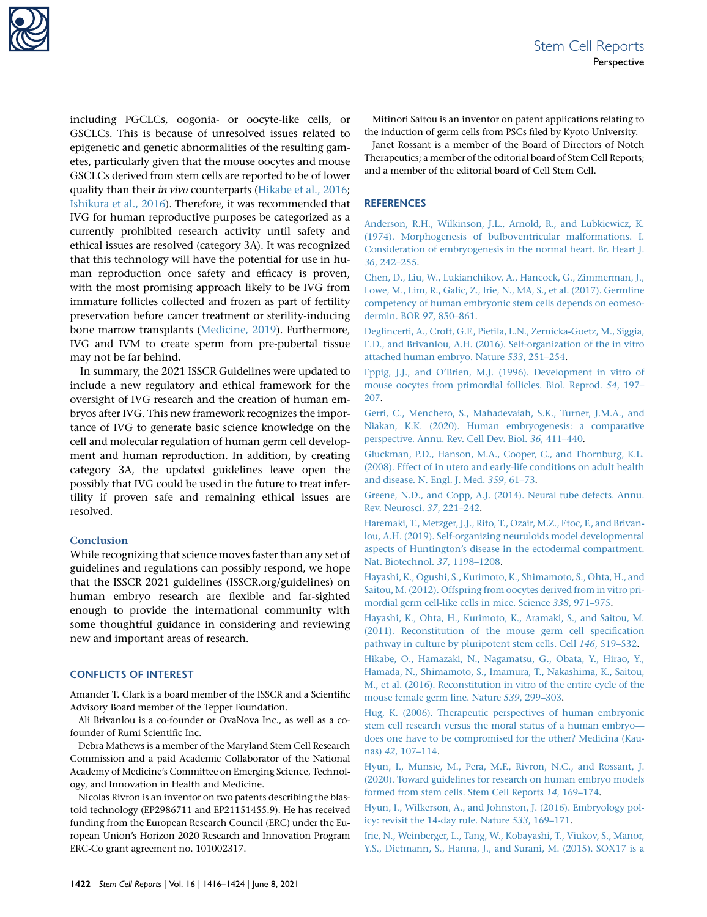

including PGCLCs, oogonia- or oocyte-like cells, or GSCLCs. This is because of unresolved issues related to epigenetic and genetic abnormalities of the resulting gametes, particularly given that the mouse oocytes and mouse GSCLCs derived from stem cells are reported to be of lower quality than their in vivo counterparts [\(Hikabe et al., 2016](#page-6-11); [Ishikura et al., 2016](#page-7-19)). Therefore, it was recommended that IVG for human reproductive purposes be categorized as a currently prohibited research activity until safety and ethical issues are resolved (category 3A). It was recognized that this technology will have the potential for use in human reproduction once safety and efficacy is proven, with the most promising approach likely to be IVG from immature follicles collected and frozen as part of fertility preservation before cancer treatment or sterility-inducing bone marrow transplants [\(Medicine, 2019\)](#page-7-26). Furthermore, IVG and IVM to create sperm from pre-pubertal tissue may not be far behind.

In summary, the 2021 ISSCR Guidelines were updated to include a new regulatory and ethical framework for the oversight of IVG research and the creation of human embryos after IVG. This new framework recognizes the importance of IVG to generate basic science knowledge on the cell and molecular regulation of human germ cell development and human reproduction. In addition, by creating category 3A, the updated guidelines leave open the possibly that IVG could be used in the future to treat infertility if proven safe and remaining ethical issues are resolved.

#### **Conclusion**

While recognizing that science moves faster than any set of guidelines and regulations can possibly respond, we hope that the ISSCR 2021 guidelines (ISSCR.org/guidelines) on human embryo research are flexible and far-sighted enough to provide the international community with some thoughtful guidance in considering and reviewing new and important areas of research.

#### CONFLICTS OF INTEREST

Amander T. Clark is a board member of the ISSCR and a Scientific Advisory Board member of the Tepper Foundation.

Ali Brivanlou is a co-founder or OvaNova Inc., as well as a cofounder of Rumi Scientific Inc.

Debra Mathews is a member of the Maryland Stem Cell Research Commission and a paid Academic Collaborator of the National Academy of Medicine's Committee on Emerging Science, Technology, and Innovation in Health and Medicine.

Nicolas Rivron is an inventor on two patents describing the blastoid technology (EP2986711 and EP21151455.9). He has received funding from the European Research Council (ERC) under the European Union's Horizon 2020 Research and Innovation Program ERC-Co grant agreement no. 101002317.

Mitinori Saitou is an inventor on patent applications relating to the induction of germ cells from PSCs filed by Kyoto University.

Janet Rossant is a member of the Board of Directors of Notch Therapeutics; a member of the editorial board of Stem Cell Reports; and a member of the editorial board of Cell Stem Cell.

#### **REFERENCES**

<span id="page-6-7"></span>[Anderson, R.H., Wilkinson, J.L., Arnold, R., and Lubkiewicz, K.](http://refhub.elsevier.com/S2213-6711(21)00259-9/sref1) [\(1974\). Morphogenesis of bulboventricular malformations. I.](http://refhub.elsevier.com/S2213-6711(21)00259-9/sref1) [Consideration of embryogenesis in the normal heart. Br. Heart J.](http://refhub.elsevier.com/S2213-6711(21)00259-9/sref1) 36[, 242–255.](http://refhub.elsevier.com/S2213-6711(21)00259-9/sref1)

<span id="page-6-13"></span>[Chen, D., Liu, W., Lukianchikov, A., Hancock, G., Zimmerman, J.,](http://refhub.elsevier.com/S2213-6711(21)00259-9/sref2) [Lowe, M., Lim, R., Galic, Z., Irie, N., MA, S., et al. \(2017\). Germline](http://refhub.elsevier.com/S2213-6711(21)00259-9/sref2) [competency of human embryonic stem cells depends on eomeso](http://refhub.elsevier.com/S2213-6711(21)00259-9/sref2)[dermin. BOR](http://refhub.elsevier.com/S2213-6711(21)00259-9/sref2) 97, 850–861.

<span id="page-6-2"></span>[Deglincerti, A., Croft, G.F., Pietila, L.N., Zernicka-Goetz, M., Siggia,](http://refhub.elsevier.com/S2213-6711(21)00259-9/sref3) [E.D., and Brivanlou, A.H. \(2016\). Self-organization of the in vitro](http://refhub.elsevier.com/S2213-6711(21)00259-9/sref3) [attached human embryo. Nature](http://refhub.elsevier.com/S2213-6711(21)00259-9/sref3) 533, 251–254.

<span id="page-6-12"></span>[Eppig, J.J., and O'Brien, M.J. \(1996\). Development in vitro of](http://refhub.elsevier.com/S2213-6711(21)00259-9/sref4) [mouse oocytes from primordial follicles. Biol. Reprod.](http://refhub.elsevier.com/S2213-6711(21)00259-9/sref4) 54, 197– [207.](http://refhub.elsevier.com/S2213-6711(21)00259-9/sref4)

<span id="page-6-3"></span>[Gerri, C., Menchero, S., Mahadevaiah, S.K., Turner, J.M.A., and](http://refhub.elsevier.com/S2213-6711(21)00259-9/sref5) [Niakan, K.K. \(2020\). Human embryogenesis: a comparative](http://refhub.elsevier.com/S2213-6711(21)00259-9/sref5) [perspective. Annu. Rev. Cell Dev. Biol.](http://refhub.elsevier.com/S2213-6711(21)00259-9/sref5) 36, 411–440.

<span id="page-6-6"></span>[Gluckman, P.D., Hanson, M.A., Cooper, C., and Thornburg, K.L.](http://refhub.elsevier.com/S2213-6711(21)00259-9/sref6) [\(2008\). Effect of in utero and early-life conditions on adult health](http://refhub.elsevier.com/S2213-6711(21)00259-9/sref6) [and disease. N. Engl. J. Med.](http://refhub.elsevier.com/S2213-6711(21)00259-9/sref6) 359, 61–73.

<span id="page-6-8"></span>[Greene, N.D., and Copp, A.J. \(2014\). Neural tube defects. Annu.](http://refhub.elsevier.com/S2213-6711(21)00259-9/sref7) [Rev. Neurosci.](http://refhub.elsevier.com/S2213-6711(21)00259-9/sref7) 37, 221–242.

<span id="page-6-1"></span>[Haremaki, T., Metzger, J.J., Rito, T., Ozair, M.Z., Etoc, F., and Brivan](http://refhub.elsevier.com/S2213-6711(21)00259-9/sref8)[lou, A.H. \(2019\). Self-organizing neuruloids model developmental](http://refhub.elsevier.com/S2213-6711(21)00259-9/sref8) [aspects of Huntington's disease in the ectodermal compartment.](http://refhub.elsevier.com/S2213-6711(21)00259-9/sref8) [Nat. Biotechnol.](http://refhub.elsevier.com/S2213-6711(21)00259-9/sref8) 37, 1198–1208.

<span id="page-6-10"></span>[Hayashi, K., Ogushi, S., Kurimoto, K., Shimamoto, S., Ohta, H., and](http://refhub.elsevier.com/S2213-6711(21)00259-9/sref9) [Saitou, M. \(2012\). Offspring from oocytes derived from in vitro pri](http://refhub.elsevier.com/S2213-6711(21)00259-9/sref9)[mordial germ cell-like cells in mice. Science](http://refhub.elsevier.com/S2213-6711(21)00259-9/sref9) 338, 971–975.

<span id="page-6-9"></span>[Hayashi, K., Ohta, H., Kurimoto, K., Aramaki, S., and Saitou, M.](http://refhub.elsevier.com/S2213-6711(21)00259-9/sref10) [\(2011\). Reconstitution of the mouse germ cell specification](http://refhub.elsevier.com/S2213-6711(21)00259-9/sref10) [pathway in culture by pluripotent stem cells. Cell](http://refhub.elsevier.com/S2213-6711(21)00259-9/sref10) 146, 519–532.

<span id="page-6-11"></span>[Hikabe, O., Hamazaki, N., Nagamatsu, G., Obata, Y., Hirao, Y.,](http://refhub.elsevier.com/S2213-6711(21)00259-9/sref11) [Hamada, N., Shimamoto, S., Imamura, T., Nakashima, K., Saitou,](http://refhub.elsevier.com/S2213-6711(21)00259-9/sref11) [M., et al. \(2016\). Reconstitution in vitro of the entire cycle of the](http://refhub.elsevier.com/S2213-6711(21)00259-9/sref11) [mouse female germ line. Nature](http://refhub.elsevier.com/S2213-6711(21)00259-9/sref11) 539, 299–303.

<span id="page-6-4"></span>[Hug, K. \(2006\). Therapeutic perspectives of human embryonic](http://refhub.elsevier.com/S2213-6711(21)00259-9/sref12) [stem cell research versus the moral status of a human embryo](http://refhub.elsevier.com/S2213-6711(21)00259-9/sref12) [does one have to be compromised for the other? Medicina \(Kau](http://refhub.elsevier.com/S2213-6711(21)00259-9/sref12)nas) 42[, 107–114](http://refhub.elsevier.com/S2213-6711(21)00259-9/sref12).

<span id="page-6-0"></span>[Hyun, I., Munsie, M., Pera, M.F., Rivron, N.C., and Rossant, J.](http://refhub.elsevier.com/S2213-6711(21)00259-9/sref13) [\(2020\). Toward guidelines for research on human embryo models](http://refhub.elsevier.com/S2213-6711(21)00259-9/sref13) [formed from stem cells. Stem Cell Reports](http://refhub.elsevier.com/S2213-6711(21)00259-9/sref13) 14, 169–174.

<span id="page-6-5"></span>[Hyun, I., Wilkerson, A., and Johnston, J. \(2016\). Embryology pol](http://refhub.elsevier.com/S2213-6711(21)00259-9/sref14)[icy: revisit the 14-day rule. Nature](http://refhub.elsevier.com/S2213-6711(21)00259-9/sref14) 533, 169–171.

<span id="page-6-14"></span>[Irie, N., Weinberger, L., Tang, W., Kobayashi, T., Viukov, S., Manor,](http://refhub.elsevier.com/S2213-6711(21)00259-9/sref15) [Y.S., Dietmann, S., Hanna, J., and Surani, M. \(2015\). SOX17 is a](http://refhub.elsevier.com/S2213-6711(21)00259-9/sref15)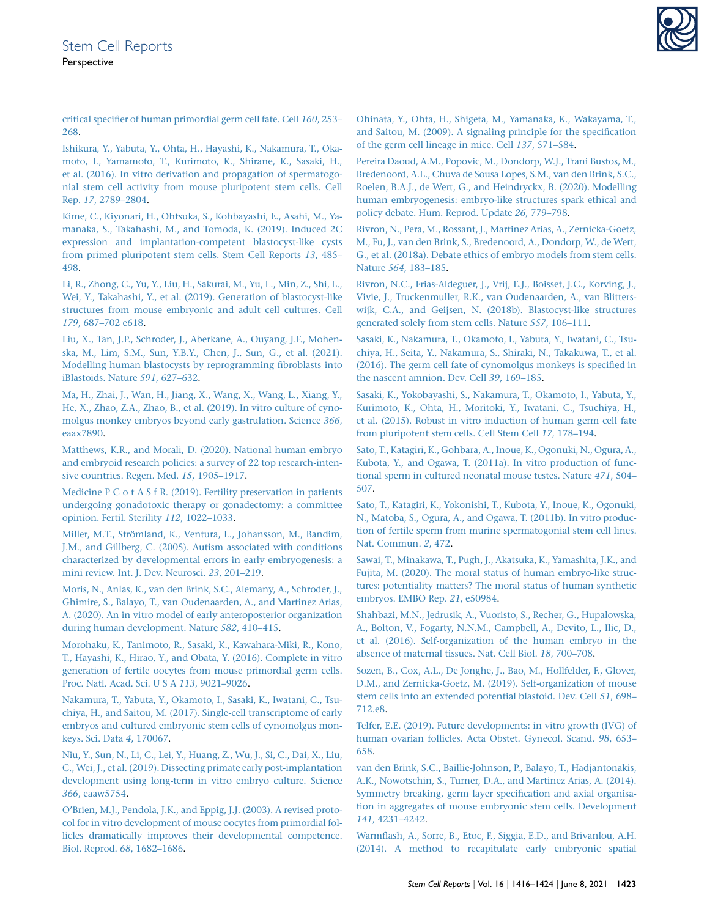[critical specifier of human primordial germ cell fate. Cell](http://refhub.elsevier.com/S2213-6711(21)00259-9/sref15) 160, 253– [268.](http://refhub.elsevier.com/S2213-6711(21)00259-9/sref15)

<span id="page-7-19"></span>[Ishikura, Y., Yabuta, Y., Ohta, H., Hayashi, K., Nakamura, T., Oka](http://refhub.elsevier.com/S2213-6711(21)00259-9/sref16)[moto, I., Yamamoto, T., Kurimoto, K., Shirane, K., Sasaki, H.,](http://refhub.elsevier.com/S2213-6711(21)00259-9/sref16) [et al. \(2016\). In vitro derivation and propagation of spermatogo](http://refhub.elsevier.com/S2213-6711(21)00259-9/sref16)[nial stem cell activity from mouse pluripotent stem cells. Cell](http://refhub.elsevier.com/S2213-6711(21)00259-9/sref16) Rep. 17[, 2789–2804](http://refhub.elsevier.com/S2213-6711(21)00259-9/sref16).

<span id="page-7-6"></span>[Kime, C., Kiyonari, H., Ohtsuka, S., Kohbayashi, E., Asahi, M., Ya](http://refhub.elsevier.com/S2213-6711(21)00259-9/sref17)[manaka, S., Takahashi, M., and Tomoda, K. \(2019\). Induced 2C](http://refhub.elsevier.com/S2213-6711(21)00259-9/sref17) [expression and implantation-competent blastocyst-like cysts](http://refhub.elsevier.com/S2213-6711(21)00259-9/sref17) [from primed pluripotent stem cells. Stem Cell Reports](http://refhub.elsevier.com/S2213-6711(21)00259-9/sref17) 13, 485– [498.](http://refhub.elsevier.com/S2213-6711(21)00259-9/sref17)

<span id="page-7-7"></span>[Li, R., Zhong, C., Yu, Y., Liu, H., Sakurai, M., Yu, L., Min, Z., Shi, L.,](http://refhub.elsevier.com/S2213-6711(21)00259-9/sref18) [Wei, Y., Takahashi, Y., et al. \(2019\). Generation of blastocyst-like](http://refhub.elsevier.com/S2213-6711(21)00259-9/sref18) [structures from mouse embryonic and adult cell cultures. Cell](http://refhub.elsevier.com/S2213-6711(21)00259-9/sref18) 179[, 687–702 e618](http://refhub.elsevier.com/S2213-6711(21)00259-9/sref18).

<span id="page-7-10"></span>[Liu, X., Tan, J.P., Schroder, J., Aberkane, A., Ouyang, J.F., Mohen](http://refhub.elsevier.com/S2213-6711(21)00259-9/sref19)[ska, M., Lim, S.M., Sun, Y.B.Y., Chen, J., Sun, G., et al. \(2021\).](http://refhub.elsevier.com/S2213-6711(21)00259-9/sref19) [Modelling human blastocysts by reprogramming fibroblasts into](http://refhub.elsevier.com/S2213-6711(21)00259-9/sref19) [iBlastoids. Nature](http://refhub.elsevier.com/S2213-6711(21)00259-9/sref19) 591, 627–632.

<span id="page-7-14"></span>[Ma, H., Zhai, J., Wan, H., Jiang, X., Wang, X., Wang, L., Xiang, Y.,](http://refhub.elsevier.com/S2213-6711(21)00259-9/sref20) [He, X., Zhao, Z.A., Zhao, B., et al. \(2019\). In vitro culture of cyno](http://refhub.elsevier.com/S2213-6711(21)00259-9/sref20)[molgus monkey embryos beyond early gastrulation. Science](http://refhub.elsevier.com/S2213-6711(21)00259-9/sref20) 366, [eaax7890.](http://refhub.elsevier.com/S2213-6711(21)00259-9/sref20)

<span id="page-7-16"></span>[Matthews, K.R., and Morali, D. \(2020\). National human embryo](http://refhub.elsevier.com/S2213-6711(21)00259-9/sref21) [and embryoid research policies: a survey of 22 top research-inten](http://refhub.elsevier.com/S2213-6711(21)00259-9/sref21)[sive countries. Regen. Med.](http://refhub.elsevier.com/S2213-6711(21)00259-9/sref21) 15, 1905–1917.

<span id="page-7-26"></span>[Medicine P C o t A S f R. \(2019\). Fertility preservation in patients](http://refhub.elsevier.com/S2213-6711(21)00259-9/sref22) [undergoing gonadotoxic therapy or gonadectomy: a committee](http://refhub.elsevier.com/S2213-6711(21)00259-9/sref22) [opinion. Fertil. Sterility](http://refhub.elsevier.com/S2213-6711(21)00259-9/sref22) 112, 1022–1033.

<span id="page-7-17"></span>Miller, M.T., Strömland, K., Ventura, L., Johansson, M., Bandim, [J.M., and Gillberg, C. \(2005\). Autism associated with conditions](http://refhub.elsevier.com/S2213-6711(21)00259-9/sref23) [characterized by developmental errors in early embryogenesis: a](http://refhub.elsevier.com/S2213-6711(21)00259-9/sref23) [mini review. Int. J. Dev. Neurosci.](http://refhub.elsevier.com/S2213-6711(21)00259-9/sref23) 23, 201–219.

<span id="page-7-4"></span>[Moris, N., Anlas, K., van den Brink, S.C., Alemany, A., Schroder, J.,](http://refhub.elsevier.com/S2213-6711(21)00259-9/sref24) [Ghimire, S., Balayo, T., van Oudenaarden, A., and Martinez Arias,](http://refhub.elsevier.com/S2213-6711(21)00259-9/sref24) [A. \(2020\). An in vitro model of early anteroposterior organization](http://refhub.elsevier.com/S2213-6711(21)00259-9/sref24) [during human development. Nature](http://refhub.elsevier.com/S2213-6711(21)00259-9/sref24) 582, 410–415.

<span id="page-7-20"></span>[Morohaku, K., Tanimoto, R., Sasaki, K., Kawahara-Miki, R., Kono,](http://refhub.elsevier.com/S2213-6711(21)00259-9/sref25) [T., Hayashi, K., Hirao, Y., and Obata, Y. \(2016\). Complete in vitro](http://refhub.elsevier.com/S2213-6711(21)00259-9/sref25) [generation of fertile oocytes from mouse primordial germ cells.](http://refhub.elsevier.com/S2213-6711(21)00259-9/sref25) [Proc. Natl. Acad. Sci. U S A](http://refhub.elsevier.com/S2213-6711(21)00259-9/sref25) 113, 9021–9026.

<span id="page-7-12"></span>[Nakamura, T., Yabuta, Y., Okamoto, I., Sasaki, K., Iwatani, C., Tsu](http://refhub.elsevier.com/S2213-6711(21)00259-9/sref26)[chiya, H., and Saitou, M. \(2017\). Single-cell transcriptome of early](http://refhub.elsevier.com/S2213-6711(21)00259-9/sref26) [embryos and cultured embryonic stem cells of cynomolgus mon](http://refhub.elsevier.com/S2213-6711(21)00259-9/sref26)[keys. Sci. Data](http://refhub.elsevier.com/S2213-6711(21)00259-9/sref26) 4, 170067.

<span id="page-7-15"></span>[Niu, Y., Sun, N., Li, C., Lei, Y., Huang, Z., Wu, J., Si, C., Dai, X., Liu,](http://refhub.elsevier.com/S2213-6711(21)00259-9/sref27) [C., Wei, J., et al. \(2019\). Dissecting primate early post-implantation](http://refhub.elsevier.com/S2213-6711(21)00259-9/sref27) [development using long-term in vitro embryo culture. Science](http://refhub.elsevier.com/S2213-6711(21)00259-9/sref27) 366[, eaaw5754.](http://refhub.elsevier.com/S2213-6711(21)00259-9/sref27)

<span id="page-7-21"></span>[O'Brien, M.J., Pendola, J.K., and Eppig, J.J. \(2003\). A revised proto](http://refhub.elsevier.com/S2213-6711(21)00259-9/sref28)[col for in vitro development of mouse oocytes from primordial fol](http://refhub.elsevier.com/S2213-6711(21)00259-9/sref28)[licles dramatically improves their developmental competence.](http://refhub.elsevier.com/S2213-6711(21)00259-9/sref28) [Biol. Reprod.](http://refhub.elsevier.com/S2213-6711(21)00259-9/sref28) 68, 1682–1686.

<span id="page-7-18"></span>[Ohinata, Y., Ohta, H., Shigeta, M., Yamanaka, K., Wakayama, T.,](http://refhub.elsevier.com/S2213-6711(21)00259-9/sref29) [and Saitou, M. \(2009\). A signaling principle for the specification](http://refhub.elsevier.com/S2213-6711(21)00259-9/sref29) [of the germ cell lineage in mice. Cell](http://refhub.elsevier.com/S2213-6711(21)00259-9/sref29) 137, 571–584.

<span id="page-7-0"></span>[Pereira Daoud, A.M., Popovic, M., Dondorp, W.J., Trani Bustos, M.,](http://refhub.elsevier.com/S2213-6711(21)00259-9/sref30) [Bredenoord, A.L., Chuva de Sousa Lopes, S.M., van den Brink, S.C.,](http://refhub.elsevier.com/S2213-6711(21)00259-9/sref30) [Roelen, B.A.J., de Wert, G., and Heindryckx, B. \(2020\). Modelling](http://refhub.elsevier.com/S2213-6711(21)00259-9/sref30) [human embryogenesis: embryo-like structures spark ethical and](http://refhub.elsevier.com/S2213-6711(21)00259-9/sref30) [policy debate. Hum. Reprod. Update](http://refhub.elsevier.com/S2213-6711(21)00259-9/sref30) 26, 779–798.

<span id="page-7-1"></span>[Rivron, N., Pera, M., Rossant, J., Martinez Arias, A., Zernicka-Goetz,](http://refhub.elsevier.com/S2213-6711(21)00259-9/sref31) [M., Fu, J., van den Brink, S., Bredenoord, A., Dondorp, W., de Wert,](http://refhub.elsevier.com/S2213-6711(21)00259-9/sref31) [G., et al. \(2018a\). Debate ethics of embryo models from stem cells.](http://refhub.elsevier.com/S2213-6711(21)00259-9/sref31) Nature 564[, 183–185.](http://refhub.elsevier.com/S2213-6711(21)00259-9/sref31)

<span id="page-7-8"></span>[Rivron, N.C., Frias-Aldeguer, J., Vrij, E.J., Boisset, J.C., Korving, J.,](http://refhub.elsevier.com/S2213-6711(21)00259-9/sref32) [Vivie, J., Truckenmuller, R.K., van Oudenaarden, A., van Blitters](http://refhub.elsevier.com/S2213-6711(21)00259-9/sref32)[wijk, C.A., and Geijsen, N. \(2018b\). Blastocyst-like structures](http://refhub.elsevier.com/S2213-6711(21)00259-9/sref32) [generated solely from stem cells. Nature](http://refhub.elsevier.com/S2213-6711(21)00259-9/sref32) 557, 106–111.

<span id="page-7-13"></span>[Sasaki, K., Nakamura, T., Okamoto, I., Yabuta, Y., Iwatani, C., Tsu](http://refhub.elsevier.com/S2213-6711(21)00259-9/sref33)[chiya, H., Seita, Y., Nakamura, S., Shiraki, N., Takakuwa, T., et al.](http://refhub.elsevier.com/S2213-6711(21)00259-9/sref33) [\(2016\). The germ cell fate of cynomolgus monkeys is specified in](http://refhub.elsevier.com/S2213-6711(21)00259-9/sref33) [the nascent amnion. Dev. Cell](http://refhub.elsevier.com/S2213-6711(21)00259-9/sref33) 39, 169–185.

<span id="page-7-24"></span>[Sasaki, K., Yokobayashi, S., Nakamura, T., Okamoto, I., Yabuta, Y.,](http://refhub.elsevier.com/S2213-6711(21)00259-9/sref34) [Kurimoto, K., Ohta, H., Moritoki, Y., Iwatani, C., Tsuchiya, H.,](http://refhub.elsevier.com/S2213-6711(21)00259-9/sref34) [et al. \(2015\). Robust in vitro induction of human germ cell fate](http://refhub.elsevier.com/S2213-6711(21)00259-9/sref34) [from pluripotent stem cells. Cell Stem Cell](http://refhub.elsevier.com/S2213-6711(21)00259-9/sref34) 17, 178–194.

<span id="page-7-22"></span>[Sato, T., Katagiri, K., Gohbara, A., Inoue, K., Ogonuki, N., Ogura, A.,](http://refhub.elsevier.com/S2213-6711(21)00259-9/sref35) [Kubota, Y., and Ogawa, T. \(2011a\). In vitro production of func](http://refhub.elsevier.com/S2213-6711(21)00259-9/sref35)[tional sperm in cultured neonatal mouse testes. Nature](http://refhub.elsevier.com/S2213-6711(21)00259-9/sref35) 471, 504– [507.](http://refhub.elsevier.com/S2213-6711(21)00259-9/sref35)

<span id="page-7-23"></span>[Sato, T., Katagiri, K., Yokonishi, T., Kubota, Y., Inoue, K., Ogonuki,](http://refhub.elsevier.com/S2213-6711(21)00259-9/sref36) [N., Matoba, S., Ogura, A., and Ogawa, T. \(2011b\). In vitro produc](http://refhub.elsevier.com/S2213-6711(21)00259-9/sref36)[tion of fertile sperm from murine spermatogonial stem cell lines.](http://refhub.elsevier.com/S2213-6711(21)00259-9/sref36) [Nat. Commun.](http://refhub.elsevier.com/S2213-6711(21)00259-9/sref36) 2, 472.

<span id="page-7-2"></span>[Sawai, T., Minakawa, T., Pugh, J., Akatsuka, K., Yamashita, J.K., and](http://refhub.elsevier.com/S2213-6711(21)00259-9/sref37) [Fujita, M. \(2020\). The moral status of human embryo-like struc](http://refhub.elsevier.com/S2213-6711(21)00259-9/sref37)[tures: potentiality matters? The moral status of human synthetic](http://refhub.elsevier.com/S2213-6711(21)00259-9/sref37) [embryos. EMBO Rep.](http://refhub.elsevier.com/S2213-6711(21)00259-9/sref37) 21, e50984.

<span id="page-7-11"></span>[Shahbazi, M.N., Jedrusik, A., Vuoristo, S., Recher, G., Hupalowska,](http://refhub.elsevier.com/S2213-6711(21)00259-9/sref38) [A., Bolton, V., Fogarty, N.N.M., Campbell, A., Devito, L., Ilic, D.,](http://refhub.elsevier.com/S2213-6711(21)00259-9/sref38) [et al. \(2016\). Self-organization of the human embryo in the](http://refhub.elsevier.com/S2213-6711(21)00259-9/sref38) [absence of maternal tissues. Nat. Cell Biol.](http://refhub.elsevier.com/S2213-6711(21)00259-9/sref38) 18, 700–708.

<span id="page-7-9"></span>[Sozen, B., Cox, A.L., De Jonghe, J., Bao, M., Hollfelder, F., Glover,](http://refhub.elsevier.com/S2213-6711(21)00259-9/sref39) [D.M., and Zernicka-Goetz, M. \(2019\). Self-organization of mouse](http://refhub.elsevier.com/S2213-6711(21)00259-9/sref39) [stem cells into an extended potential blastoid. Dev. Cell](http://refhub.elsevier.com/S2213-6711(21)00259-9/sref39) 51, 698– [712.e8](http://refhub.elsevier.com/S2213-6711(21)00259-9/sref39).

<span id="page-7-25"></span>[Telfer, E.E. \(2019\). Future developments: in vitro growth \(IVG\) of](http://refhub.elsevier.com/S2213-6711(21)00259-9/sref40) [human ovarian follicles. Acta Obstet. Gynecol. Scand.](http://refhub.elsevier.com/S2213-6711(21)00259-9/sref40) 98, 653– [658.](http://refhub.elsevier.com/S2213-6711(21)00259-9/sref40)

<span id="page-7-5"></span>[van den Brink, S.C., Baillie-Johnson, P., Balayo, T., Hadjantonakis,](http://refhub.elsevier.com/S2213-6711(21)00259-9/sref41) [A.K., Nowotschin, S., Turner, D.A., and Martinez Arias, A. \(2014\).](http://refhub.elsevier.com/S2213-6711(21)00259-9/sref41) [Symmetry breaking, germ layer specification and axial organisa](http://refhub.elsevier.com/S2213-6711(21)00259-9/sref41)[tion in aggregates of mouse embryonic stem cells. Development](http://refhub.elsevier.com/S2213-6711(21)00259-9/sref41) 141[, 4231–4242.](http://refhub.elsevier.com/S2213-6711(21)00259-9/sref41)

<span id="page-7-3"></span>[Warmflash, A., Sorre, B., Etoc, F., Siggia, E.D., and Brivanlou, A.H.](http://refhub.elsevier.com/S2213-6711(21)00259-9/sref42) [\(2014\). A method to recapitulate early embryonic spatial](http://refhub.elsevier.com/S2213-6711(21)00259-9/sref42)